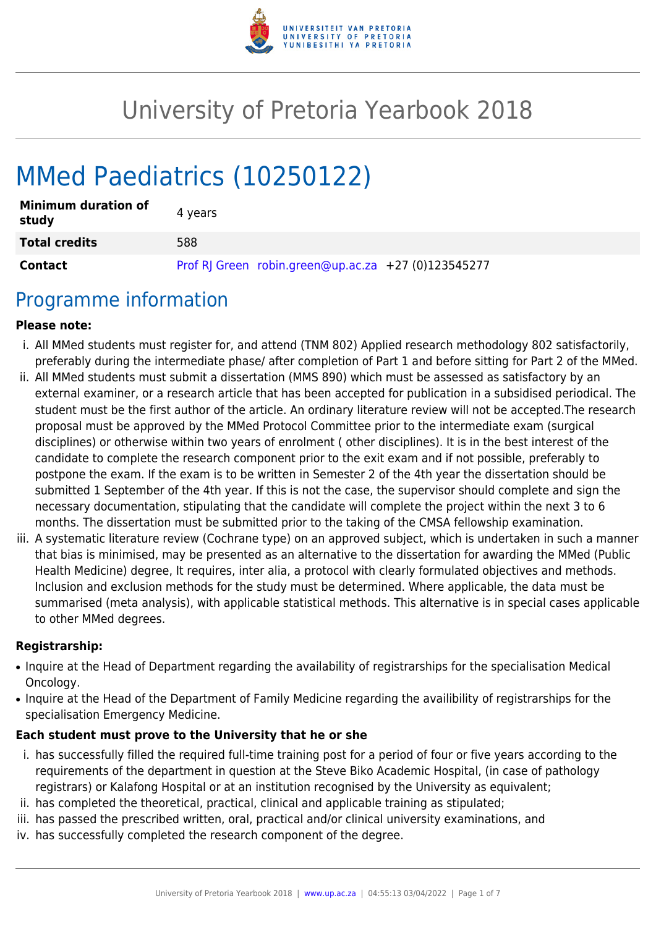

# University of Pretoria Yearbook 2018

# MMed Paediatrics (10250122)

| <b>Minimum duration of</b><br>study | 4 years                                             |
|-------------------------------------|-----------------------------------------------------|
| <b>Total credits</b>                | 588                                                 |
| <b>Contact</b>                      | Prof RJ Green robin.green@up.ac.za +27 (0)123545277 |

### Programme information

#### **Please note:**

- i. All MMed students must register for, and attend (TNM 802) Applied research methodology 802 satisfactorily, preferably during the intermediate phase/ after completion of Part 1 and before sitting for Part 2 of the MMed.
- ii. All MMed students must submit a dissertation (MMS 890) which must be assessed as satisfactory by an external examiner, or a research article that has been accepted for publication in a subsidised periodical. The student must be the first author of the article. An ordinary literature review will not be accepted.The research proposal must be approved by the MMed Protocol Committee prior to the intermediate exam (surgical disciplines) or otherwise within two years of enrolment ( other disciplines). It is in the best interest of the candidate to complete the research component prior to the exit exam and if not possible, preferably to postpone the exam. If the exam is to be written in Semester 2 of the 4th year the dissertation should be submitted 1 September of the 4th year. If this is not the case, the supervisor should complete and sign the necessary documentation, stipulating that the candidate will complete the project within the next 3 to 6 months. The dissertation must be submitted prior to the taking of the CMSA fellowship examination.
- iii. A systematic literature review (Cochrane type) on an approved subject, which is undertaken in such a manner that bias is minimised, may be presented as an alternative to the dissertation for awarding the MMed (Public Health Medicine) degree, It requires, inter alia, a protocol with clearly formulated objectives and methods. Inclusion and exclusion methods for the study must be determined. Where applicable, the data must be summarised (meta analysis), with applicable statistical methods. This alternative is in special cases applicable to other MMed degrees.

#### **Registrarship:**

- Inquire at the Head of Department regarding the availability of registrarships for the specialisation Medical Oncology.
- Inquire at the Head of the Department of Family Medicine regarding the availibility of registrarships for the specialisation Emergency Medicine.

#### **Each student must prove to the University that he or she**

- i. has successfully filled the required full-time training post for a period of four or five years according to the requirements of the department in question at the Steve Biko Academic Hospital, (in case of pathology registrars) or Kalafong Hospital or at an institution recognised by the University as equivalent;
- ii. has completed the theoretical, practical, clinical and applicable training as stipulated;
- iii. has passed the prescribed written, oral, practical and/or clinical university examinations, and
- iv. has successfully completed the research component of the degree.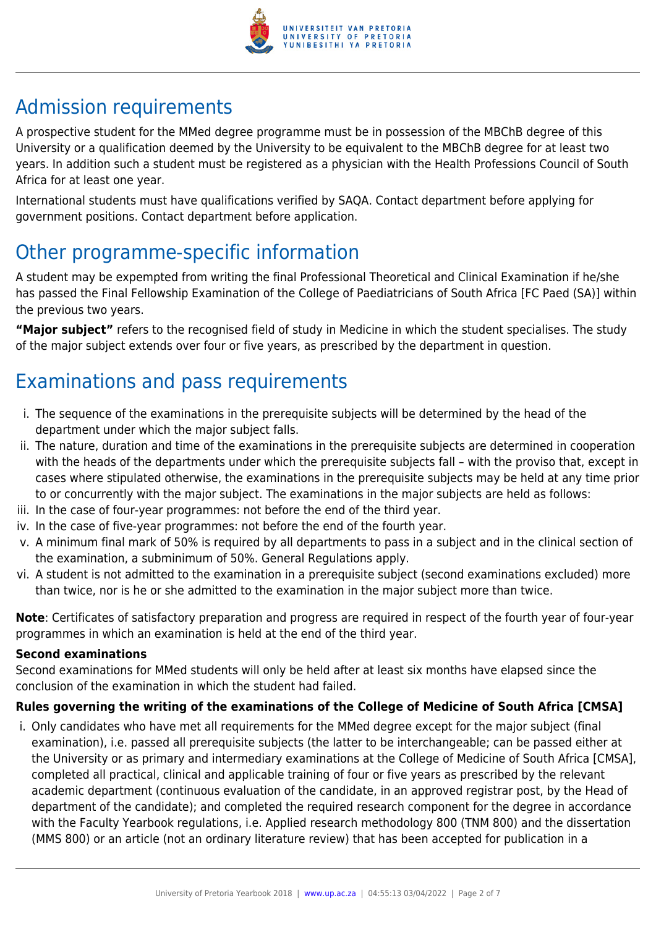

# Admission requirements

A prospective student for the MMed degree programme must be in possession of the MBChB degree of this University or a qualification deemed by the University to be equivalent to the MBChB degree for at least two years. In addition such a student must be registered as a physician with the Health Professions Council of South Africa for at least one year.

International students must have qualifications verified by SAQA. Contact department before applying for government positions. Contact department before application.

# Other programme-specific information

A student may be expempted from writing the final Professional Theoretical and Clinical Examination if he/she has passed the Final Fellowship Examination of the College of Paediatricians of South Africa [FC Paed (SA)] within the previous two years.

**"Major subject"** refers to the recognised field of study in Medicine in which the student specialises. The study of the major subject extends over four or five years, as prescribed by the department in question.

# Examinations and pass requirements

- i. The sequence of the examinations in the prerequisite subjects will be determined by the head of the department under which the major subject falls.
- ii. The nature, duration and time of the examinations in the prerequisite subjects are determined in cooperation with the heads of the departments under which the prerequisite subjects fall – with the proviso that, except in cases where stipulated otherwise, the examinations in the prerequisite subjects may be held at any time prior to or concurrently with the major subject. The examinations in the major subjects are held as follows:
- iii. In the case of four-year programmes: not before the end of the third year.
- iv. In the case of five-year programmes: not before the end of the fourth year.
- v. A minimum final mark of 50% is required by all departments to pass in a subject and in the clinical section of the examination, a subminimum of 50%. General Regulations apply.
- vi. A student is not admitted to the examination in a prerequisite subject (second examinations excluded) more than twice, nor is he or she admitted to the examination in the major subject more than twice.

**Note**: Certificates of satisfactory preparation and progress are required in respect of the fourth year of four-year programmes in which an examination is held at the end of the third year.

#### **Second examinations**

Second examinations for MMed students will only be held after at least six months have elapsed since the conclusion of the examination in which the student had failed.

#### **Rules governing the writing of the examinations of the College of Medicine of South Africa [CMSA]**

i. Only candidates who have met all requirements for the MMed degree except for the major subject (final examination), i.e. passed all prerequisite subjects (the latter to be interchangeable; can be passed either at the University or as primary and intermediary examinations at the College of Medicine of South Africa [CMSA], completed all practical, clinical and applicable training of four or five years as prescribed by the relevant academic department (continuous evaluation of the candidate, in an approved registrar post, by the Head of department of the candidate); and completed the required research component for the degree in accordance with the Faculty Yearbook regulations, i.e. Applied research methodology 800 (TNM 800) and the dissertation (MMS 800) or an article (not an ordinary literature review) that has been accepted for publication in a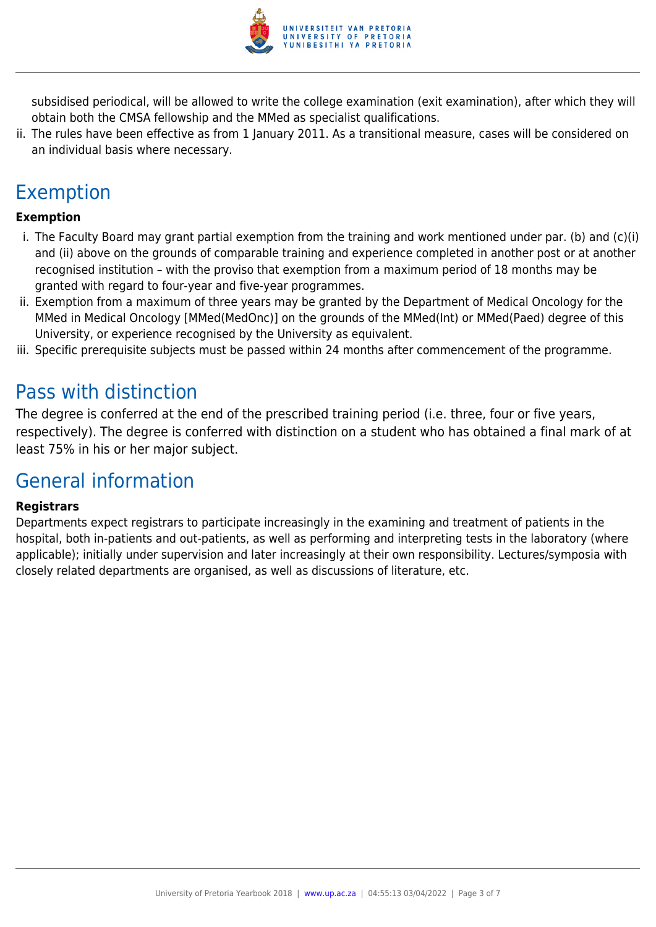

subsidised periodical, will be allowed to write the college examination (exit examination), after which they will obtain both the CMSA fellowship and the MMed as specialist qualifications.

ii. The rules have been effective as from 1 January 2011. As a transitional measure, cases will be considered on an individual basis where necessary.

## Exemption

#### **Exemption**

- i. The Faculty Board may grant partial exemption from the training and work mentioned under par. (b) and (c)(i) and (ii) above on the grounds of comparable training and experience completed in another post or at another recognised institution – with the proviso that exemption from a maximum period of 18 months may be granted with regard to four-year and five-year programmes.
- ii. Exemption from a maximum of three years may be granted by the Department of Medical Oncology for the MMed in Medical Oncology [MMed(MedOnc)] on the grounds of the MMed(Int) or MMed(Paed) degree of this University, or experience recognised by the University as equivalent.
- iii. Specific prerequisite subjects must be passed within 24 months after commencement of the programme.

### Pass with distinction

The degree is conferred at the end of the prescribed training period (i.e. three, four or five years, respectively). The degree is conferred with distinction on a student who has obtained a final mark of at least 75% in his or her major subject.

### General information

#### **Registrars**

Departments expect registrars to participate increasingly in the examining and treatment of patients in the hospital, both in-patients and out-patients, as well as performing and interpreting tests in the laboratory (where applicable); initially under supervision and later increasingly at their own responsibility. Lectures/symposia with closely related departments are organised, as well as discussions of literature, etc.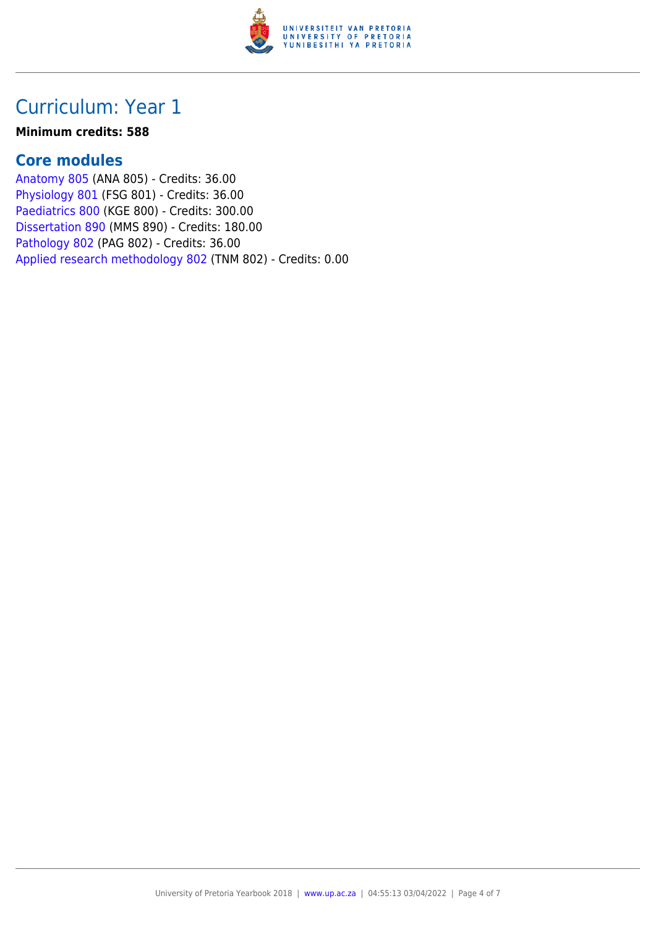

## Curriculum: Year 1

#### **Minimum credits: 588**

### **Core modules**

[Anatomy 805](https://www.up.ac.za/faculty-of-education/yearbooks/2018/modules/view/ANA 805) (ANA 805) - Credits: 36.00 [Physiology 801](https://www.up.ac.za/faculty-of-education/yearbooks/2018/modules/view/FSG 801) (FSG 801) - Credits: 36.00 [Paediatrics 800](https://www.up.ac.za/faculty-of-education/yearbooks/2018/modules/view/KGE 800) (KGE 800) - Credits: 300.00 [Dissertation 890](https://www.up.ac.za/faculty-of-education/yearbooks/2018/modules/view/MMS 890) (MMS 890) - Credits: 180.00 [Pathology 802](https://www.up.ac.za/faculty-of-education/yearbooks/2018/modules/view/PAG 802) (PAG 802) - Credits: 36.00 [Applied research methodology 802](https://www.up.ac.za/faculty-of-education/yearbooks/2018/modules/view/TNM 802) (TNM 802) - Credits: 0.00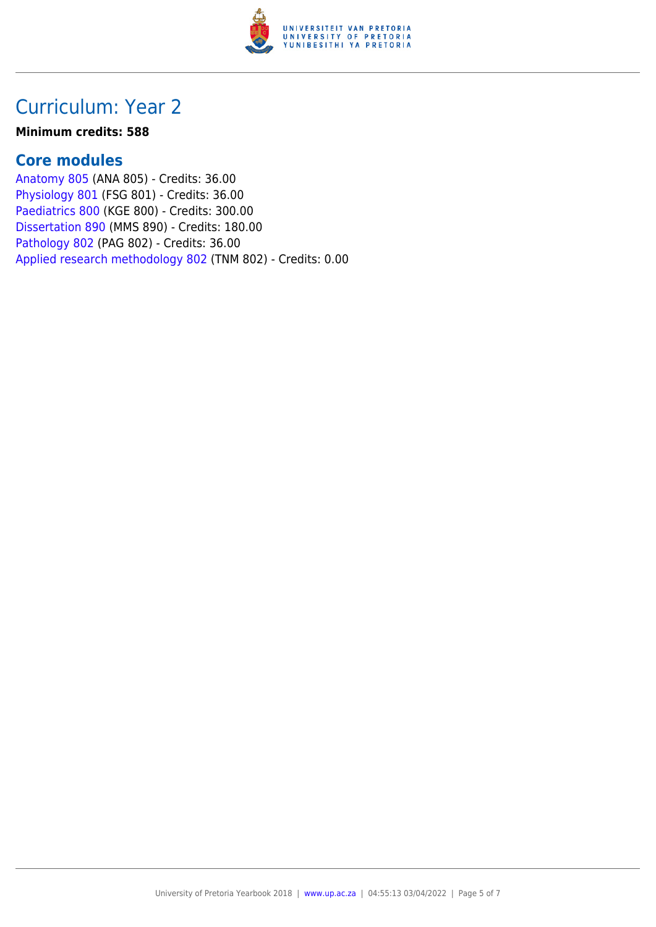

## Curriculum: Year 2

#### **Minimum credits: 588**

### **Core modules**

[Anatomy 805](https://www.up.ac.za/faculty-of-education/yearbooks/2018/modules/view/ANA 805) (ANA 805) - Credits: 36.00 [Physiology 801](https://www.up.ac.za/faculty-of-education/yearbooks/2018/modules/view/FSG 801) (FSG 801) - Credits: 36.00 [Paediatrics 800](https://www.up.ac.za/faculty-of-education/yearbooks/2018/modules/view/KGE 800) (KGE 800) - Credits: 300.00 [Dissertation 890](https://www.up.ac.za/faculty-of-education/yearbooks/2018/modules/view/MMS 890) (MMS 890) - Credits: 180.00 [Pathology 802](https://www.up.ac.za/faculty-of-education/yearbooks/2018/modules/view/PAG 802) (PAG 802) - Credits: 36.00 [Applied research methodology 802](https://www.up.ac.za/faculty-of-education/yearbooks/2018/modules/view/TNM 802) (TNM 802) - Credits: 0.00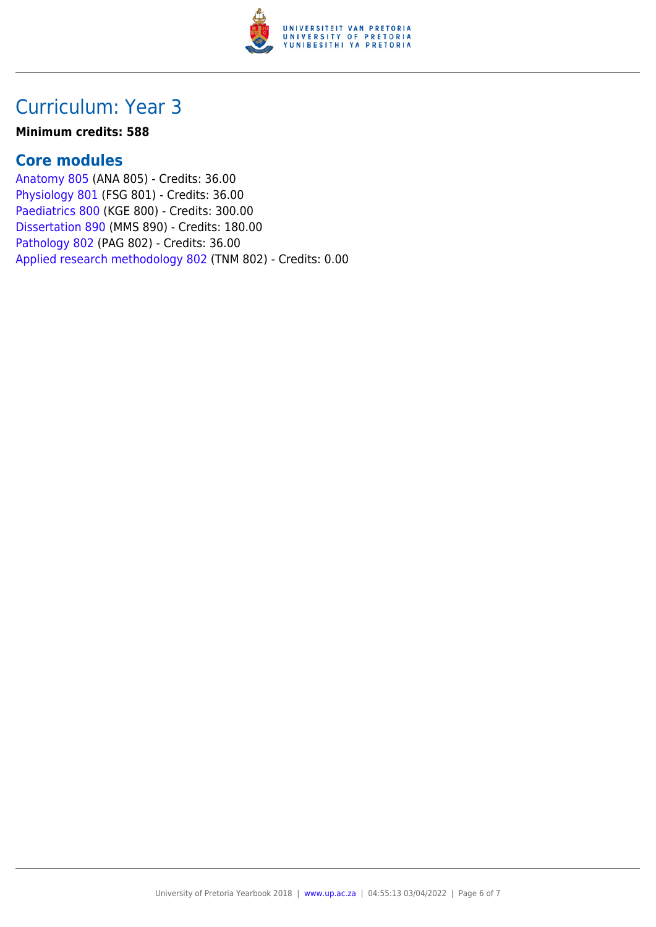

### Curriculum: Year 3

#### **Minimum credits: 588**

### **Core modules**

[Anatomy 805](https://www.up.ac.za/faculty-of-education/yearbooks/2018/modules/view/ANA 805) (ANA 805) - Credits: 36.00 [Physiology 801](https://www.up.ac.za/faculty-of-education/yearbooks/2018/modules/view/FSG 801) (FSG 801) - Credits: 36.00 [Paediatrics 800](https://www.up.ac.za/faculty-of-education/yearbooks/2018/modules/view/KGE 800) (KGE 800) - Credits: 300.00 [Dissertation 890](https://www.up.ac.za/faculty-of-education/yearbooks/2018/modules/view/MMS 890) (MMS 890) - Credits: 180.00 [Pathology 802](https://www.up.ac.za/faculty-of-education/yearbooks/2018/modules/view/PAG 802) (PAG 802) - Credits: 36.00 [Applied research methodology 802](https://www.up.ac.za/faculty-of-education/yearbooks/2018/modules/view/TNM 802) (TNM 802) - Credits: 0.00